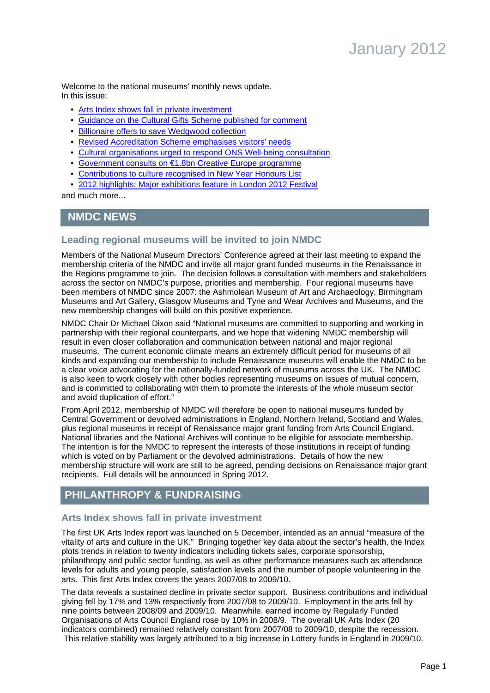Welcome to the national museums' monthly news update. In this issue:

- [Arts Index shows fall in private investment](#page-0-0)
- [Guidance on the Cultural Gifts Scheme published for comment](#page-1-0)
- [Billionaire offers to save Wedgwood collection](#page-1-1)
- [Revised Accreditation Scheme emphasises visitors' needs](#page-3-0)
- [Cultural organisations urged to respond ONS Well-being consultation](#page-6-0)
- [Government consults on €1.8bn Creative Europe programme](#page-7-0)
- [Contributions to culture recognised in New Year Honours List](#page-10-0)
- [2012 highlights: Major exhibitions feature in London 2012 Festival](#page-11-0)

and much more...

# **NMDC NEWS**

# **Leading regional museums will be invited to join NMDC**

Members of the National Museum Directors' Conference agreed at their last meeting to expand the membership criteria of the NMDC and invite all major grant funded museums in the Renaissance in the Regions programme to join. The decision follows a consultation with members and stakeholders across the sector on NMDC's purpose, priorities and membership. Four regional museums have been members of NMDC since 2007: the Ashmolean Museum of Art and Archaeology, Birmingham Museums and Art Gallery, Glasgow Museums and Tyne and Wear Archives and Museums, and the new membership changes will build on this positive experience.

NMDC Chair Dr Michael Dixon said "National museums are committed to supporting and working in partnership with their regional counterparts, and we hope that widening NMDC membership will result in even closer collaboration and communication between national and major regional museums. The current economic climate means an extremely difficult period for museums of all kinds and expanding our membership to include Renaissance museums will enable the NMDC to be a clear voice advocating for the nationally-funded network of museums across the UK. The NMDC is also keen to work closely with other bodies representing museums on issues of mutual concern, and is committed to collaborating with them to promote the interests of the whole museum sector and avoid duplication of effort."

From April 2012, membership of NMDC will therefore be open to national museums funded by Central Government or devolved administrations in England, Northern Ireland, Scotland and Wales, plus regional museums in receipt of Renaissance major grant funding from Arts Council England. National libraries and the National Archives will continue to be eligible for associate membership. The intention is for the NMDC to represent the interests of those institutions in receipt of funding which is voted on by Parliament or the devolved administrations. Details of how the new membership structure will work are still to be agreed, pending decisions on Renaissance major grant recipients. Full details will be announced in Spring 2012.

# <span id="page-0-0"></span>**PHILANTHROPY & FUNDRAISING**

# **Arts Index shows fall in private investment**

The first UK Arts Index report was launched on 5 December, intended as an annual "measure of the vitality of arts and culture in the UK." Bringing together key data about the sector's health, the Index plots trends in relation to twenty indicators including tickets sales, corporate sponsorship, philanthropy and public sector funding, as well as other performance measures such as attendance levels for adults and young people, satisfaction levels and the number of people volunteering in the arts. This first Arts Index covers the years 2007/08 to 2009/10.

The data reveals a sustained decline in private sector support. Business contributions and individual giving fell by 17% and 13% respectively from 2007/08 to 2009/10. Employment in the arts fell by nine points between 2008/09 and 2009/10. Meanwhile, earned income by Regularly Funded Organisations of Arts Council England rose by 10% in 2008/9. The overall UK Arts Index (20 indicators combined) remained relatively constant from 2007/08 to 2009/10, despite the recession. This relative stability was largely attributed to a big increase in Lottery funds in England in 2009/10.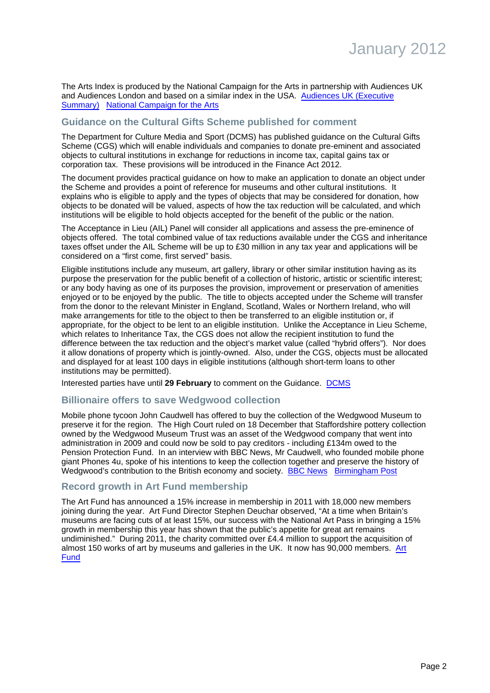The Arts Index is produced by the National Campaign for the Arts in partnership with Audiences UK and Audiences London and based on a similar index in the USA. [Audiences UK \(Executive](http://www.audiencesuk.org/news/arts-index) [Summary\)](http://www.audiencesuk.org/news/arts-index) [National Campaign for the Arts](http://www.artscampaign.org.uk/index.php?option=com_content&view=article&id=592&Itemid=16)

# <span id="page-1-0"></span>**Guidance on the Cultural Gifts Scheme published for comment**

The Department for Culture Media and Sport (DCMS) has published guidance on the Cultural Gifts Scheme (CGS) which will enable individuals and companies to donate pre-eminent and associated objects to cultural institutions in exchange for reductions in income tax, capital gains tax or corporation tax. These provisions will be introduced in the Finance Act 2012.

The document provides practical guidance on how to make an application to donate an object under the Scheme and provides a point of reference for museums and other cultural institutions. It explains who is eligible to apply and the types of objects that may be considered for donation, how objects to be donated will be valued, aspects of how the tax reduction will be calculated, and which institutions will be eligible to hold objects accepted for the benefit of the public or the nation.

The Acceptance in Lieu (AIL) Panel will consider all applications and assess the pre-eminence of objects offered. The total combined value of tax reductions available under the CGS and inheritance taxes offset under the AIL Scheme will be up to £30 million in any tax year and applications will be considered on a "first come, first served" basis.

Eligible institutions include any museum, art gallery, library or other similar institution having as its purpose the preservation for the public benefit of a collection of historic, artistic or scientific interest; or any body having as one of its purposes the provision, improvement or preservation of amenities enjoyed or to be enjoyed by the public. The title to objects accepted under the Scheme will transfer from the donor to the relevant Minister in England, Scotland, Wales or Northern Ireland, who will make arrangements for title to the object to then be transferred to an eligible institution or, if appropriate, for the object to be lent to an eligible institution. Unlike the Acceptance in Lieu Scheme, which relates to Inheritance Tax, the CGS does not allow the recipient institution to fund the difference between the tax reduction and the object's market value (called "hybrid offers"). Nor does it allow donations of property which is jointly-owned. Also, under the CGS, objects must be allocated and displayed for at least 100 days in eligible institutions (although short-term loans to other institutions may be permitted).

Interested parties have until **29 February** to comment on the Guidance. [DCMS](http://www.culture.gov.uk/publications/8667.aspx)

# <span id="page-1-1"></span>**Billionaire offers to save Wedgwood collection**

Mobile phone tycoon John Caudwell has offered to buy the collection of the Wedgwood Museum to preserve it for the region. The High Court ruled on 18 December that Staffordshire pottery collection owned by the Wedgwood Museum Trust was an asset of the Wedgwood company that went into administration in 2009 and could now be sold to pay creditors - including £134m owed to the Pension Protection Fund. In an interview with BBC News, Mr Caudwell, who founded mobile phone giant Phones 4u, spoke of his intentions to keep the collection together and preserve the history of Wedgwood's contribution to the British economy and society. [BBC News](http://www.bbc.co.uk/news/uk-england-stoke-staffordshire-16292687) [Birmingham Post](http://www.birminghampost.net/birmingham-business/birmingham-business-news/manufacturing-and-skills-business/2011/12/19/wedgwood-pottery-collection-can-be-sold-to-fill-pension-black-hole-high-court-rules-65233-29979714/#ixzz1iaFvG3qU)

# **Record growth in Art Fund membership**

The Art Fund has announced a 15% increase in membership in 2011 with 18,000 new members joining during the year. Art Fund Director Stephen Deuchar observed, "At a time when Britain's museums are facing cuts of at least 15%, our success with the National Art Pass in bringing a 15% growth in membership this year has shown that the public's appetite for great art remains undiminished." During 2011, the charity committed over £4.4 million to support the acquisition of almost 150 works of art by museums and galleries in the UK. It now has 90,000 members. [Art](http://www.artfund.org/news/1274/record-numbers-join-in-2011) [Fund](http://www.artfund.org/news/1274/record-numbers-join-in-2011)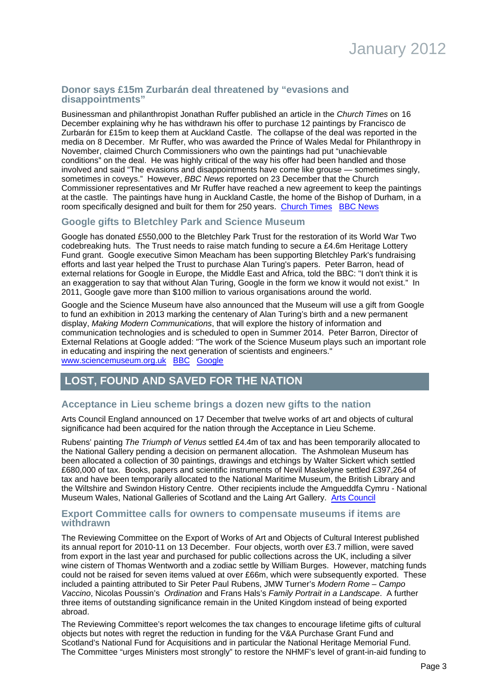### **Donor says £15m Zurbarán deal threatened by "evasions and disappointments"**

Businessman and philanthropist Jonathan Ruffer published an article in the Church Times on 16 December explaining why he has withdrawn his offer to purchase 12 paintings by Francisco de Zurbarán for £15m to keep them at Auckland Castle. The collapse of the deal was reported in the media on 8 December. Mr Ruffer, who was awarded the Prince of Wales Medal for Philanthropy in November, claimed Church Commissioners who own the paintings had put "unachievable conditions" on the deal. He was highly critical of the way his offer had been handled and those involved and said "The evasions and disappointments have come like grouse — sometimes singly, sometimes in coveys." However, BBC News reported on 23 December that the Church Commissioner representatives and Mr Ruffer have reached a new agreement to keep the paintings at the castle. The paintings have hung in Auckland Castle, the home of the Bishop of Durham, in a room specifically designed and built for them for 250 years. [Church Times](http://www.churchtimes.co.uk/content.asp?id=122023) [BBC News](http://www.bbc.co.uk/news/uk-england-tees-16313518)

# **Google gifts to Bletchley Park and Science Museum**

Google has donated £550,000 to the Bletchley Park Trust for the restoration of its World War Two codebreaking huts. The Trust needs to raise match funding to secure a £4.6m Heritage Lottery Fund grant. Google executive Simon Meacham has been supporting Bletchley Park's fundraising efforts and last year helped the Trust to purchase Alan Turing's papers. Peter Barron, head of external relations for Google in Europe, the Middle East and Africa, told the BBC: "I don't think it is an exaggeration to say that without Alan Turing, Google in the form we know it would not exist." In 2011, Google gave more than \$100 million to various organisations around the world.

Google and the Science Museum have also announced that the Museum will use a gift from Google to fund an exhibition in 2013 marking the centenary of Alan Turing's birth and a new permanent display, Making Modern Communications, that will explore the history of information and communication technologies and is scheduled to open in Summer 2014. Peter Barron, Director of External Relations at Google added: "The work of the Science Museum plays such an important role in educating and inspiring the next generation of scientists and engineers." [www.sciencemuseum.org.uk](http://www.sciencemuseum.org.uk/) [BBC](http://www.bbc.co.uk/news/magazine-15739984) [Google](http://www.google.com/landing/givesback/2011/)

# **LOST, FOUND AND SAVED FOR THE NATION**

# **Acceptance in Lieu scheme brings a dozen new gifts to the nation**

Arts Council England announced on 17 December that twelve works of art and objects of cultural significance had been acquired for the nation through the Acceptance in Lieu Scheme.

Rubens' painting The Triumph of Venus settled £4.4m of tax and has been temporarily allocated to the National Gallery pending a decision on permanent allocation. The Ashmolean Museum has been allocated a collection of 30 paintings, drawings and etchings by Walter Sickert which settled £680,000 of tax. Books, papers and scientific instruments of Nevil Maskelyne settled £397,264 of tax and have been temporarily allocated to the National Maritime Museum, the British Library and the Wiltshire and Swindon History Centre. Other recipients include the Amgueddfa Cymru - National Museum Wales, National Galleries of Scotland and the Laing Art Gallery. [Arts Council](http://press.artscouncil.org.uk/Press-Releases/Nation-to-receive-12-cultural-treasures-this-Christmas-58e.aspx)

#### **Export Committee calls for owners to compensate museums if items are withdrawn**

The Reviewing Committee on the Export of Works of Art and Objects of Cultural Interest published its annual report for 2010-11 on 13 December. Four objects, worth over £3.7 million, were saved from export in the last year and purchased for public collections across the UK, including a silver wine cistern of Thomas Wentworth and a zodiac settle by William Burges. However, matching funds could not be raised for seven items valued at over £66m, which were subsequently exported. These included a painting attributed to Sir Peter Paul Rubens, JMW Turner's Modern Rome – Campo Vaccino, Nicolas Poussin's Ordination and Frans Hals's Family Portrait in a Landscape. A further three items of outstanding significance remain in the United Kingdom instead of being exported abroad.

The Reviewing Committee's report welcomes the tax changes to encourage lifetime gifts of cultural objects but notes with regret the reduction in funding for the V&A Purchase Grant Fund and Scotland's National Fund for Acquisitions and in particular the National Heritage Memorial Fund. The Committee "urges Ministers most strongly" to restore the NHMF's level of grant-in-aid funding to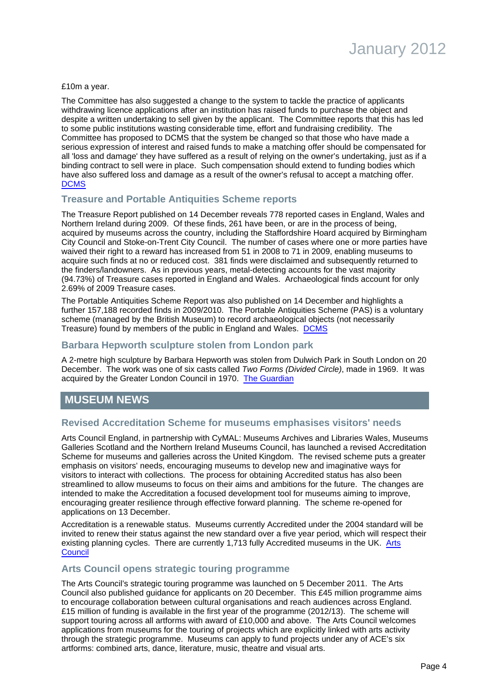

£10m a year.

The Committee has also suggested a change to the system to tackle the practice of applicants withdrawing licence applications after an institution has raised funds to purchase the object and despite a written undertaking to sell given by the applicant. The Committee reports that this has led to some public institutions wasting considerable time, effort and fundraising credibility. The Committee has proposed to DCMS that the system be changed so that those who have made a serious expression of interest and raised funds to make a matching offer should be compensated for all 'loss and damage' they have suffered as a result of relying on the owner's undertaking, just as if a binding contract to sell were in place. Such compensation should extend to funding bodies which have also suffered loss and damage as a result of the owner's refusal to accept a matching offer. **[DCMS](http://www.culture.gov.uk/news/media_releases/8701.aspx)** 

#### **Treasure and Portable Antiquities Scheme reports**

The Treasure Report published on 14 December reveals 778 reported cases in England, Wales and Northern Ireland during 2009. Of these finds, 261 have been, or are in the process of being, acquired by museums across the country, including the Staffordshire Hoard acquired by Birmingham City Council and Stoke-on-Trent City Council. The number of cases where one or more parties have waived their right to a reward has increased from 51 in 2008 to 71 in 2009, enabling museums to acquire such finds at no or reduced cost. 381 finds were disclaimed and subsequently returned to the finders/landowners. As in previous years, metal-detecting accounts for the vast majority (94.73%) of Treasure cases reported in England and Wales. Archaeological finds account for only 2.69% of 2009 Treasure cases.

The Portable Antiquities Scheme Report was also published on 14 December and highlights a further 157,188 recorded finds in 2009/2010. The Portable Antiquities Scheme (PAS) is a voluntary scheme (managed by the British Museum) to record archaeological objects (not necessarily Treasure) found by members of the public in England and Wales. [DCMS](http://www.culture.gov.uk/news/news_stories/8709.aspx)

#### **Barbara Hepworth sculpture stolen from London park**

A 2-metre high sculpture by Barbara Hepworth was stolen from Dulwich Park in South London on 20 December. The work was one of six casts called Two Forms (Divided Circle), made in 1969. It was acquired by the Greater London Council in 1970. [The Guardian](http://www.guardian.co.uk/artanddesign/2011/dec/20/barbara-hepworth-sculpture-park-stolen)

# **MUSEUM NEWS**

#### <span id="page-3-0"></span>**Revised Accreditation Scheme for museums emphasises visitors' needs**

Arts Council England, in partnership with CyMAL: Museums Archives and Libraries Wales, Museums Galleries Scotland and the Northern Ireland Museums Council, has launched a revised Accreditation Scheme for museums and galleries across the United Kingdom. The revised scheme puts a greater emphasis on visitors' needs, encouraging museums to develop new and imaginative ways for visitors to interact with collections. The process for obtaining Accredited status has also been streamlined to allow museums to focus on their aims and ambitions for the future. The changes are intended to make the Accreditation a focused development tool for museums aiming to improve, encouraging greater resilience through effective forward planning. The scheme re-opened for applications on 13 December.

Accreditation is a renewable status. Museums currently Accredited under the 2004 standard will be invited to renew their status against the new standard over a five year period, which will respect their existing planning cycles. There are currently 1,713 fully Accredited museums in the UK. [Arts](http://www.artscouncil.org.uk/news/arts-council-englands-touring-programme-open-appli/) **[Council](http://www.artscouncil.org.uk/news/arts-council-englands-touring-programme-open-appli/)** 

#### **Arts Council opens strategic touring programme**

The Arts Council's strategic touring programme was launched on 5 December 2011. The Arts Council also published guidance for applicants on 20 December. This £45 million programme aims to encourage collaboration between cultural organisations and reach audiences across England. £15 million of funding is available in the first year of the programme (2012/13). The scheme will support touring across all artforms with award of £10,000 and above. The Arts Council welcomes applications from museums for the touring of projects which are explicitly linked with arts activity through the strategic programme. Museums can apply to fund projects under any of ACE's six artforms: combined arts, dance, literature, music, theatre and visual arts.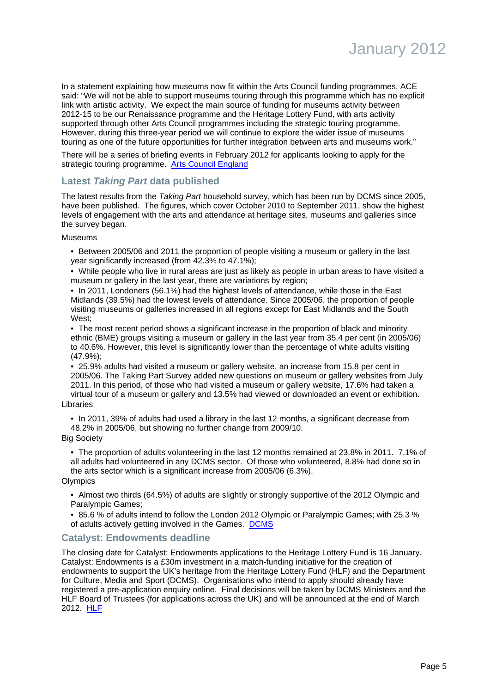In a statement explaining how museums now fit within the Arts Council funding programmes, ACE said: "We will not be able to support museums touring through this programme which has no explicit link with artistic activity. We expect the main source of funding for museums activity between 2012-15 to be our Renaissance programme and the Heritage Lottery Fund, with arts activity supported through other Arts Council programmes including the strategic touring programme. However, during this three-year period we will continue to explore the wider issue of museums touring as one of the future opportunities for further integration between arts and museums work."

There will be a series of briefing events in February 2012 for applicants looking to apply for the strategic touring programme. [Arts Council England](http://www.artscouncil.org.uk/funding/apply-for-funding/strategic-funding/grant-programmes/strategic-touring-programme/)

# **Latest Taking Part data published**

The latest results from the Taking Part household survey, which has been run by DCMS since 2005, have been published. The figures, which cover October 2010 to September 2011, show the highest levels of engagement with the arts and attendance at heritage sites, museums and galleries since the survey began.

Museums

• Between 2005/06 and 2011 the proportion of people visiting a museum or gallery in the last year significantly increased (from 42.3% to 47.1%);

• While people who live in rural areas are just as likely as people in urban areas to have visited a museum or gallery in the last year, there are variations by region;

• In 2011, Londoners (56.1%) had the highest levels of attendance, while those in the East Midlands (39.5%) had the lowest levels of attendance. Since 2005/06, the proportion of people visiting museums or galleries increased in all regions except for East Midlands and the South West;

• The most recent period shows a significant increase in the proportion of black and minority ethnic (BME) groups visiting a museum or gallery in the last year from 35.4 per cent (in 2005/06) to 40.6%. However, this level is significantly lower than the percentage of white adults visiting (47.9%);

• 25.9% adults had visited a museum or gallery website, an increase from 15.8 per cent in 2005/06. The Taking Part Survey added new questions on museum or gallery websites from July 2011. In this period, of those who had visited a museum or gallery website, 17.6% had taken a virtual tour of a museum or gallery and 13.5% had viewed or downloaded an event or exhibition. Libraries

• In 2011, 39% of adults had used a library in the last 12 months, a significant decrease from 48.2% in 2005/06, but showing no further change from 2009/10.

Big Society

• The proportion of adults volunteering in the last 12 months remained at 23.8% in 2011. 7.1% of all adults had volunteered in any DCMS sector. Of those who volunteered, 8.8% had done so in the arts sector which is a significant increase from 2005/06 (6.3%).

**Olympics** 

• Almost two thirds (64.5%) of adults are slightly or strongly supportive of the 2012 Olympic and Paralympic Games;

• 85.6 % of adults intend to follow the London 2012 Olympic or Paralympic Games; with 25.3 % of adults actively getting involved in the Games. [DCMS](http://www.culture.gov.uk/news/news_stories/8737.aspx)

# **Catalyst: Endowments deadline**

The closing date for Catalyst: Endowments applications to the Heritage Lottery Fund is 16 January. Catalyst: Endowments is a £30m investment in a match-funding initiative for the creation of endowments to support the UK's heritage from the Heritage Lottery Fund (HLF) and the Department for Culture, Media and Sport (DCMS). Organisations who intend to apply should already have registered a pre-application enquiry online. Final decisions will be taken by DCMS Ministers and the HLF Board of Trustees (for applications across the UK) and will be announced at the end of March 2012. [HLF](http://www.hlf.org.uk/HowToApply/programmes/Pages/Catalyst.aspx)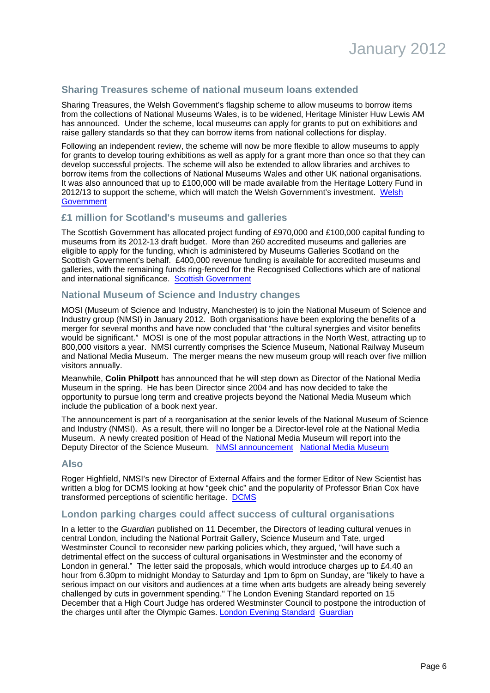

# **Sharing Treasures scheme of national museum loans extended**

Sharing Treasures, the Welsh Government's flagship scheme to allow museums to borrow items from the collections of National Museums Wales, is to be widened, Heritage Minister Huw Lewis AM has announced. Under the scheme, local museums can apply for grants to put on exhibitions and raise gallery standards so that they can borrow items from national collections for display.

Following an independent review, the scheme will now be more flexible to allow museums to apply for grants to develop touring exhibitions as well as apply for a grant more than once so that they can develop successful projects. The scheme will also be extended to allow libraries and archives to borrow items from the collections of National Museums Wales and other UK national organisations. It was also announced that up to £100,000 will be made available from the Heritage Lottery Fund in 2012/13 to support the scheme, which will match the Welsh Government's investment. [Welsh](http://wales.gov.uk/newsroom/cultureandsport/2011/111128sharingtreasuresrelaunched/?lang=en) **[Government](http://wales.gov.uk/newsroom/cultureandsport/2011/111128sharingtreasuresrelaunched/?lang=en)** 

### **£1 million for Scotland's museums and galleries**

The Scottish Government has allocated project funding of £970,000 and £100,000 capital funding to museums from its 2012-13 draft budget. More than 260 accredited museums and galleries are eligible to apply for the funding, which is administered by Museums Galleries Scotland on the Scottish Government's behalf. £400,000 revenue funding is available for accredited museums and galleries, with the remaining funds ring-fenced for the Recognised Collections which are of national and international significance. [Scottish Government](http://www.scotland.gov.uk/News/Releases/2011/12/22110017)

### **National Museum of Science and Industry changes**

MOSI (Museum of Science and Industry, Manchester) is to join the National Museum of Science and Industry group (NMSI) in January 2012. Both organisations have been exploring the benefits of a merger for several months and have now concluded that "the cultural synergies and visitor benefits would be significant." MOSI is one of the most popular attractions in the North West, attracting up to 800,000 visitors a year. NMSI currently comprises the Science Museum, National Railway Museum and National Media Museum. The merger means the new museum group will reach over five million visitors annually.

Meanwhile, **Colin Philpott** has announced that he will step down as Director of the National Media Museum in the spring. He has been Director since 2004 and has now decided to take the opportunity to pursue long term and creative projects beyond the National Media Museum which include the publication of a book next year.

The announcement is part of a reorganisation at the senior levels of the National Museum of Science and Industry (NMSI). As a result, there will no longer be a Director-level role at the National Media Museum. A newly created position of Head of the National Media Museum will report into the Deputy Director of the Science Museum. [NMSI announcement](http://www.sciencemuseum.org.uk/about_us/press_and_media/press_releases/2011/12/NMSI%20Merger%20with%20MOSI.aspx) [National Media Museum](http://www.nationalmediamuseum.org.uk/AboutUs/PressOffice/2011/December/DirectoroftheNationalMediaMuseumstepsdown.aspx)

#### **Also**

Roger Highfield, NMSI's new Director of External Affairs and the former Editor of New Scientist has written a blog for DCMS looking at how "geek chic" and the popularity of Professor Brian Cox have transformed perceptions of scientific heritage. [DCMS](http://blogs.culture.gov.uk/main/2011/12/post_20.html)

#### **London parking charges could affect success of cultural organisations**

In a letter to the Guardian published on 11 December, the Directors of leading cultural venues in central London, including the National Portrait Gallery, Science Museum and Tate, urged Westminster Council to reconsider new parking policies which, they argued, "will have such a detrimental effect on the success of cultural organisations in Westminster and the economy of London in general." The letter said the proposals, which would introduce charges up to £4.40 an hour from 6.30pm to midnight Monday to Saturday and 1pm to 6pm on Sunday, are "likely to have a serious impact on our visitors and audiences at a time when arts budgets are already being severely challenged by cuts in government spending." The London Evening Standard reported on 15 December that a High Court Judge has ordered Westminster Council to postpone the introduction of the charges until after the Olympic Games. [London Evening Standard](http://www.thisislondon.co.uk/standard/article-24021812-parking-charges-victory-as-nightlife-tax-is-abandoned.do) [Guardian](http://www.guardian.co.uk/uk/2011/dec/11/west-end-curbs-on-parking)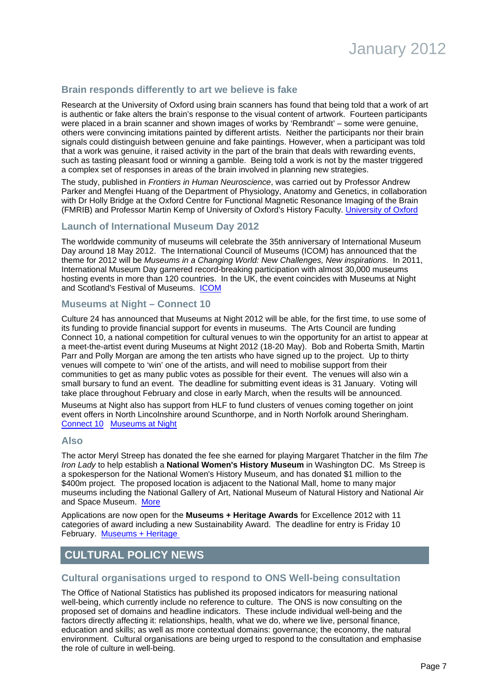# **Brain responds differently to art we believe is fake**

Research at the University of Oxford using brain scanners has found that being told that a work of art is authentic or fake alters the brain's response to the visual content of artwork. Fourteen participants were placed in a brain scanner and shown images of works by 'Rembrandt' – some were genuine, others were convincing imitations painted by different artists. Neither the participants nor their brain signals could distinguish between genuine and fake paintings. However, when a participant was told that a work was genuine, it raised activity in the part of the brain that deals with rewarding events, such as tasting pleasant food or winning a gamble. Being told a work is not by the master triggered a complex set of responses in areas of the brain involved in planning new strategies.

The study, published in Frontiers in Human Neuroscience, was carried out by Professor Andrew Parker and Mengfei Huang of the Department of Physiology, Anatomy and Genetics, in collaboration with Dr Holly Bridge at the Oxford Centre for Functional Magnetic Resonance Imaging of the Brain (FMRIB) and Professor Martin Kemp of University of Oxford's History Faculty. [University of Oxford](http://www.ox.ac.uk/media/news_stories/2011/110611.html)

# **Launch of International Museum Day 2012**

The worldwide community of museums will celebrate the 35th anniversary of International Museum Day around 18 May 2012. The International Council of Museums (ICOM) has announced that the theme for 2012 will be Museums in a Changing World: New Challenges, New inspirations. In 2011, International Museum Day garnered record-breaking participation with almost 30,000 museums hosting events in more than 120 countries. In the UK, the event coincides with Museums at Night and Scotland's Festival of Museums. [ICOM](http://network.icom.museum/imd2012)

# **Museums at Night – Connect 10**

Culture 24 has announced that Museums at Night 2012 will be able, for the first time, to use some of its funding to provide financial support for events in museums. The Arts Council are funding Connect 10, a national competition for cultural venues to win the opportunity for an artist to appear at a meet-the-artist event during Museums at Night 2012 (18-20 May). Bob and Roberta Smith, Martin Parr and Polly Morgan are among the ten artists who have signed up to the project. Up to thirty venues will compete to 'win' one of the artists, and will need to mobilise support from their communities to get as many public votes as possible for their event. The venues will also win a small bursary to fund an event. The deadline for submitting event ideas is 31 January. Voting will take place throughout February and close in early March, when the results will be announced.

Museums at Night also has support from HLF to fund clusters of venues coming together on joint event offers in North Lincolnshire around Scunthorpe, and in North Norfolk around Sheringham. [Connect 10](http://museumsatnight.wordpress.com/2011/11/29/connect10-information-for-venues/) [Museums at Night](http://www.museumsatnight.org.uk/)

#### **Also**

The actor Meryl Streep has donated the fee she earned for playing Margaret Thatcher in the film The Iron Lady to help establish a **National Women's History Museum** in Washington DC. Ms Streep is a spokesperson for the National Women's History Museum, and has donated \$1 million to the \$400m project. The proposed location is adjacent to the National Mall, home to many major museums including the National Gallery of Art, National Museum of Natural History and National Air and Space Museum. [More](http://www.nwhm.org/)

Applications are now open for the **Museums + Heritage Awards** for Excellence 2012 with 11 categories of award including a new Sustainability Award. The deadline for entry is Friday 10 February. Museums + Heritage

# **CULTURAL POLICY NEWS**

# <span id="page-6-0"></span>**Cultural organisations urged to respond to ONS Well-being consultation**

The Office of National Statistics has published its proposed indicators for measuring national well-being, which currently include no reference to culture. The ONS is now consulting on the proposed set of domains and headline indicators. These include individual well-being and the factors directly affecting it: relationships, health, what we do, where we live, personal finance, education and skills; as well as more contextual domains: governance; the economy, the natural environment. Cultural organisations are being urged to respond to the consultation and emphasise the role of culture in well-being.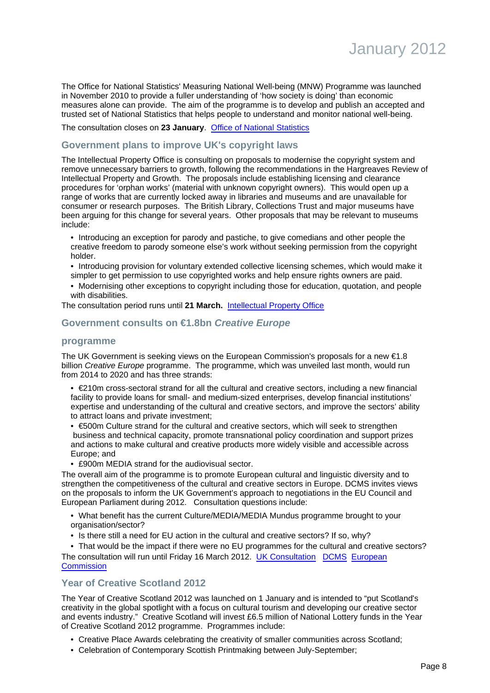The Office for National Statistics' Measuring National Well-being (MNW) Programme was launched in November 2010 to provide a fuller understanding of 'how society is doing' than economic measures alone can provide. The aim of the programme is to develop and publish an accepted and trusted set of National Statistics that helps people to understand and monitor national well-being.

#### The consultation closes on **23 January**. [Office of National Statistics](http://www.ons.gov.uk/ons/about-ons/consultations/open-consultations/measuring-national-well-being/index.html)

### **Government plans to improve UK's copyright laws**

The Intellectual Property Office is consulting on proposals to modernise the copyright system and remove unnecessary barriers to growth, following the recommendations in the Hargreaves Review of Intellectual Property and Growth. The proposals include establishing licensing and clearance procedures for 'orphan works' (material with unknown copyright owners). This would open up a range of works that are currently locked away in libraries and museums and are unavailable for consumer or research purposes. The British Library, Collections Trust and major museums have been arguing for this change for several years. Other proposals that may be relevant to museums include:

• Introducing an exception for parody and pastiche, to give comedians and other people the creative freedom to parody someone else's work without seeking permission from the copyright holder.

• Introducing provision for voluntary extended collective licensing schemes, which would make it simpler to get permission to use copyrighted works and help ensure rights owners are paid.

• Modernising other exceptions to copyright including those for education, quotation, and people with disabilities.

The consultation period runs until **21 March.** [Intellectual Property Office](http://www.ipo.gov.uk/about/press/press-release/press-release-2011/press-release-20111214.htm)

### <span id="page-7-0"></span>**Government consults on €1.8bn Creative Europe**

#### **programme**

The UK Government is seeking views on the European Commission's proposals for a new  $\epsilon$ 1.8 billion Creative Europe programme. The programme, which was unveiled last month, would run from 2014 to 2020 and has three strands:

- €210m cross-sectoral strand for all the cultural and creative sectors, including a new financial facility to provide loans for small- and medium-sized enterprises, develop financial institutions' expertise and understanding of the cultural and creative sectors, and improve the sectors' ability to attract loans and private investment;
- €500m Culture strand for the cultural and creative sectors, which will seek to strengthen business and technical capacity, promote transnational policy coordination and support prizes and actions to make cultural and creative products more widely visible and accessible across Europe; and
- £900m MEDIA strand for the audiovisual sector.

The overall aim of the programme is to promote European cultural and linguistic diversity and to strengthen the competitiveness of the cultural and creative sectors in Europe. DCMS invites views on the proposals to inform the UK Government's approach to negotiations in the EU Council and European Parliament during 2012. Consultation questions include:

- What benefit has the current Culture/MEDIA/MEDIA Mundus programme brought to your organisation/sector?
- Is there still a need for EU action in the cultural and creative sectors? If so, why?

• That would be the impact if there were no EU programmes for the cultural and creative sectors? The consultation will run until Friday 16 March 2012. [UK Consultation](http://www.culture.gov.uk/consultations/8695.aspx) [DCMS](http://www.culture.gov.uk/news/news_stories/8719.aspx) [European](http://europa.eu/rapid/pressReleasesAction.do?reference=IP/11/1399&format=HTML&aged=0&language=EN&guiLanguage=en) **[Commission](http://europa.eu/rapid/pressReleasesAction.do?reference=IP/11/1399&format=HTML&aged=0&language=EN&guiLanguage=en)** 

#### **Year of Creative Scotland 2012**

The Year of Creative Scotland 2012 was launched on 1 January and is intended to "put Scotland's creativity in the global spotlight with a focus on cultural tourism and developing our creative sector and events industry." Creative Scotland will invest £6.5 million of National Lottery funds in the Year of Creative Scotland 2012 programme. Programmes include:

- Creative Place Awards celebrating the creativity of smaller communities across Scotland;
- Celebration of Contemporary Scottish Printmaking between July-September;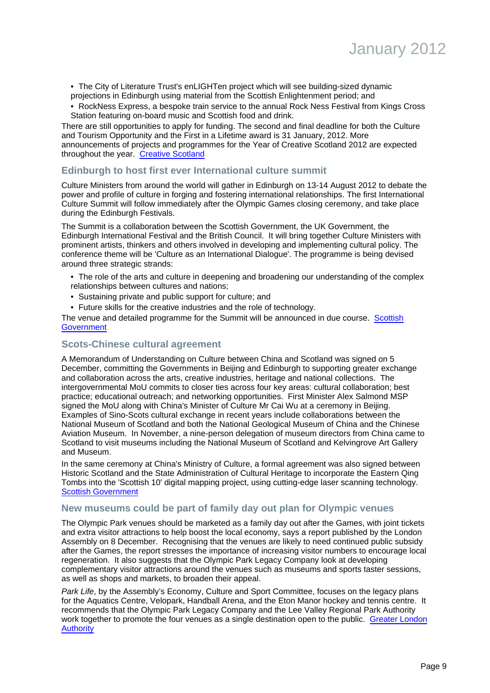- The City of Literature Trust's enLIGHTen project which will see building-sized dynamic projections in Edinburgh using material from the Scottish Enlightenment period; and
- RockNess Express, a bespoke train service to the annual Rock Ness Festival from Kings Cross Station featuring on-board music and Scottish food and drink.

There are still opportunities to apply for funding. The second and final deadline for both the Culture and Tourism Opportunity and the First in a Lifetime award is 31 January, 2012. More announcements of projects and programmes for the Year of Creative Scotland 2012 are expected throughout the year. [Creative Scotland](http://www.creativescotland.com/investment/investment-programmes/national-events-201214) 

### **Edinburgh to host first ever International culture summit**

Culture Ministers from around the world will gather in Edinburgh on 13-14 August 2012 to debate the power and profile of culture in forging and fostering international relationships. The first International Culture Summit will follow immediately after the Olympic Games closing ceremony, and take place during the Edinburgh Festivals.

The Summit is a collaboration between the Scottish Government, the UK Government, the Edinburgh International Festival and the British Council. It will bring together Culture Ministers with prominent artists, thinkers and others involved in developing and implementing cultural policy. The conference theme will be 'Culture as an International Dialogue'. The programme is being devised around three strategic strands:

- The role of the arts and culture in deepening and broadening our understanding of the complex relationships between cultures and nations;
- Sustaining private and public support for culture; and
- Future skills for the creative industries and the role of technology.

The venue and detailed programme for the Summit will be announced in due course. [Scottish](http://www.scotland.gov.uk/News/Releases/2011/12/16150010) **[Government](http://www.scotland.gov.uk/News/Releases/2011/12/16150010)** 

#### **Scots-Chinese cultural agreement**

A Memorandum of Understanding on Culture between China and Scotland was signed on 5 December, committing the Governments in Beijing and Edinburgh to supporting greater exchange and collaboration across the arts, creative industries, heritage and national collections. The intergovernmental MoU commits to closer ties across four key areas: cultural collaboration; best practice; educational outreach; and networking opportunities. First Minister Alex Salmond MSP signed the MoU along with China's Minister of Culture Mr Cai Wu at a ceremony in Beijing. Examples of Sino-Scots cultural exchange in recent years include collaborations between the National Museum of Scotland and both the National Geological Museum of China and the Chinese Aviation Museum. In November, a nine-person delegation of museum directors from China came to Scotland to visit museums including the National Museum of Scotland and Kelvingrove Art Gallery and Museum.

In the same ceremony at China's Ministry of Culture, a formal agreement was also signed between Historic Scotland and the State Administration of Cultural Heritage to incorporate the Eastern Qing Tombs into the 'Scottish 10' digital mapping project, using cutting-edge laser scanning technology. [Scottish Government](http://www.scotland.gov.uk/News/Releases/2011/12/05113404)

# **New museums could be part of family day out plan for Olympic venues**

The Olympic Park venues should be marketed as a family day out after the Games, with joint tickets and extra visitor attractions to help boost the local economy, says a report published by the London Assembly on 8 December. Recognising that the venues are likely to need continued public subsidy after the Games, the report stresses the importance of increasing visitor numbers to encourage local regeneration. It also suggests that the Olympic Park Legacy Company look at developing complementary visitor attractions around the venues such as museums and sports taster sessions, as well as shops and markets, to broaden their appeal.

Park Life, by the Assembly's Economy, Culture and Sport Committee, focuses on the legacy plans for the Aquatics Centre, Velopark, Handball Arena, and the Eton Manor hockey and tennis centre. It recommends that the Olympic Park Legacy Company and the Lee Valley Regional Park Authority work together to promote the four venues as a single destination open to the public. [Greater London](http://www.london.gov.uk/media/press_releases_london_assembly/assembly-calls-family-day-out-plan-2012-venues) **[Authority](http://www.london.gov.uk/media/press_releases_london_assembly/assembly-calls-family-day-out-plan-2012-venues)**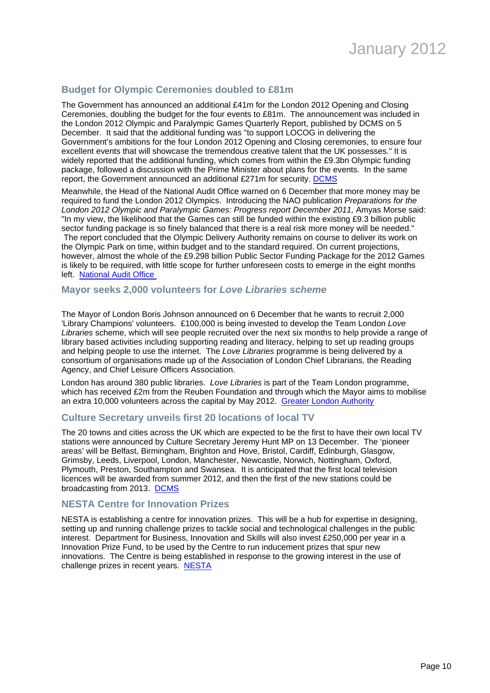# **Budget for Olympic Ceremonies doubled to £81m**

The Government has announced an additional £41m for the London 2012 Opening and Closing Ceremonies, doubling the budget for the four events to £81m. The announcement was included in the London 2012 Olympic and Paralympic Games Quarterly Report, published by DCMS on 5 December. It said that the additional funding was "to support LOCOG in delivering the Government's ambitions for the four London 2012 Opening and Closing ceremonies, to ensure four excellent events that will showcase the tremendous creative talent that the UK possesses." It is widely reported that the additional funding, which comes from within the £9.3bn Olympic funding package, followed a discussion with the Prime Minister about plans for the events. In the same report, the Government announced an additional £271m for security. [DCMS](http://www.culture.gov.uk/news/media_releases/8674.aspx)

Meanwhile, the Head of the National Audit Office warned on 6 December that more money may be required to fund the London 2012 Olympics. Introducing the NAO publication Preparations for the London 2012 Olympic and Paralympic Games: Progress report December 2011, Amyas Morse said: "In my view, the likelihood that the Games can still be funded within the existing £9.3 billion public sector funding package is so finely balanced that there is a real risk more money will be needed." The report concluded that the Olympic Delivery Authority remains on course to deliver its work on the Olympic Park on time, within budget and to the standard required. On current projections, however, almost the whole of the £9.298 billion Public Sector Funding Package for the 2012 Games is likely to be required, with little scope for further unforeseen costs to emerge in the eight months

left. [National Audit Office](http://www.nao.org.uk/publications/press_notice_home/1012/10121596.aspx) 

#### **Mayor seeks 2,000 volunteers for Love Libraries scheme**

The Mayor of London Boris Johnson announced on 6 December that he wants to recruit 2,000 'Library Champions' volunteers. £100,000 is being invested to develop the Team London Love Libraries scheme, which will see people recruited over the next six months to help provide a range of library based activities including supporting reading and literacy, helping to set up reading groups and helping people to use the internet. The Love Libraries programme is being delivered by a consortium of organisations made up of the Association of London Chief Librarians, the Reading Agency, and Chief Leisure Officers Association.

London has around 380 public libraries. Love Libraries is part of the Team London programme, which has received £2m from the Reuben Foundation and through which the Mayor aims to mobilise an extra 10,000 volunteers across the capital by May 2012. [Greater London Authority](http://www.london.gov.uk/media/press_releases_mayoral/mayor-london-launches-team-london-love-libraries-scheme)

#### **Culture Secretary unveils first 20 locations of local TV**

The 20 towns and cities across the UK which are expected to be the first to have their own local TV stations were announced by Culture Secretary Jeremy Hunt MP on 13 December. The 'pioneer areas' will be Belfast, Birmingham, Brighton and Hove, Bristol, Cardiff, Edinburgh, Glasgow, Grimsby, Leeds, Liverpool, London, Manchester, Newcastle, Norwich, Nottingham, Oxford, Plymouth, Preston, Southampton and Swansea. It is anticipated that the first local television licences will be awarded from summer 2012, and then the first of the new stations could be broadcasting from 2013. [DCMS](http://www.culture.gov.uk/news/media_releases/8703.aspx)

#### **NESTA Centre for Innovation Prizes**

NESTA is establishing a centre for innovation prizes. This will be a hub for expertise in designing, setting up and running challenge prizes to tackle social and technological challenges in the public interest. Department for Business, Innovation and Skills will also invest £250,000 per year in a Innovation Prize Fund, to be used by the Centre to run inducement prizes that spur new innovations. The Centre is being established in response to the growing interest in the use of challenge prizes in recent years. [NESTA](http://www.nesta.org.uk/news_and_features/assets/features/centre_for_innovation_prizes)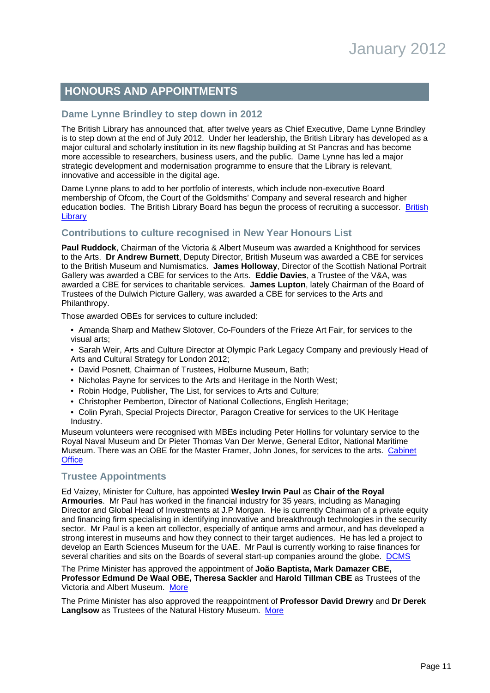# **HONOURS AND APPOINTMENTS**

# **Dame Lynne Brindley to step down in 2012**

The British Library has announced that, after twelve years as Chief Executive, Dame Lynne Brindley is to step down at the end of July 2012. Under her leadership, the British Library has developed as a major cultural and scholarly institution in its new flagship building at St Pancras and has become more accessible to researchers, business users, and the public. Dame Lynne has led a major strategic development and modernisation programme to ensure that the Library is relevant, innovative and accessible in the digital age.

Dame Lynne plans to add to her portfolio of interests, which include non-executive Board membership of Ofcom, the Court of the Goldsmiths' Company and several research and higher education bodies. The [British](http://pressandpolicy.bl.uk/Press-Releases/Dame-Lynne-Brindley-to-step-down-as-Chief-Executive-of-the-British-Library-at-the-end-of-July-2012-548.aspx) Library Board has begun the process of recruiting a successor. British **[Library](http://pressandpolicy.bl.uk/Press-Releases/Dame-Lynne-Brindley-to-step-down-as-Chief-Executive-of-the-British-Library-at-the-end-of-July-2012-548.aspx)** 

# <span id="page-10-0"></span>**Contributions to culture recognised in New Year Honours List**

**Paul Ruddock**, Chairman of the Victoria & Albert Museum was awarded a Knighthood for services to the Arts. **Dr Andrew Burnett**, Deputy Director, British Museum was awarded a CBE for services to the British Museum and Numismatics. **James Holloway**, Director of the Scottish National Portrait Gallery was awarded a CBE for services to the Arts. **Eddie Davies**, a Trustee of the V&A, was awarded a CBE for services to charitable services. **James Lupton**, lately Chairman of the Board of Trustees of the Dulwich Picture Gallery, was awarded a CBE for services to the Arts and Philanthropy.

Those awarded OBEs for services to culture included:

- Amanda Sharp and Mathew Slotover, Co-Founders of the Frieze Art Fair, for services to the visual arts;
- Sarah Weir, Arts and Culture Director at Olympic Park Legacy Company and previously Head of Arts and Cultural Strategy for London 2012;
- David Posnett, Chairman of Trustees, Holburne Museum, Bath;
- Nicholas Payne for services to the Arts and Heritage in the North West;
- Robin Hodge, Publisher, The List, for services to Arts and Culture;
- Christopher Pemberton, Director of National Collections, English Heritage;
- Colin Pyrah, Special Projects Director, Paragon Creative for services to the UK Heritage Industry.

Museum volunteers were recognised with MBEs including Peter Hollins for voluntary service to the Royal Naval Museum and Dr Pieter Thomas Van Der Merwe, General Editor, National Maritime Museum. There was an OBE for the Master Framer, John Jones, for services to the arts. [Cabinet](http://www.cabinetoffice.gov.uk/news/new-years-honours-list-2012) **[Office](http://www.cabinetoffice.gov.uk/news/new-years-honours-list-2012)** 

#### **Trustee Appointments**

Ed Vaizey, Minister for Culture, has appointed **Wesley Irwin Paul** as **Chair of the Royal Armouries**. Mr Paul has worked in the financial industry for 35 years, including as Managing Director and Global Head of Investments at J.P Morgan. He is currently Chairman of a private equity and financing firm specialising in identifying innovative and breakthrough technologies in the security sector. Mr Paul is a keen art collector, especially of antique arms and armour, and has developed a strong interest in museums and how they connect to their target audiences. He has led a project to develop an Earth Sciences Museum for the UAE. Mr Paul is currently working to raise finances for several charities and sits on the Boards of several start-up companies around the globe. [DCMS](http://www.culture.gov.uk/news/media_releases/8731.aspx)

The Prime Minister has approved the appointment of **João Baptista, Mark Damazer CBE, Professor Edmund De Waal OBE, Theresa Sackler** and **Harold Tillman CBE** as Trustees of the Victoria and Albert Museum. [More](http://www.number10.gov.uk/news/new-trustees-for-va-museum/)

The Prime Minister has also approved the reappointment of **Professor David Drewry** and **Dr Derek Langlsow** as Trustees of the Natural History Museum. [More](http://www.number10.gov.uk/news/trustees-of-the-natural-history-museum-reappointed/)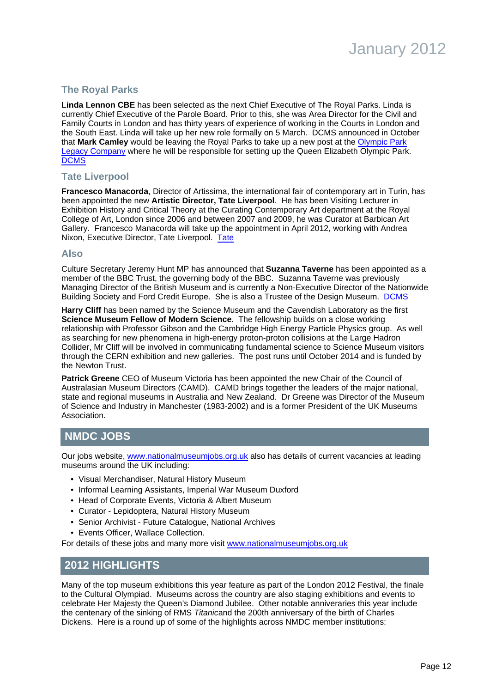

# **The Royal Parks**

**Linda Lennon CBE** has been selected as the next Chief Executive of The Royal Parks. Linda is currently Chief Executive of the Parole Board. Prior to this, she was Area Director for the Civil and Family Courts in London and has thirty years of experience of working in the Courts in London and the South East. Linda will take up her new role formally on 5 March. DCMS announced in October that **Mark Camley** would be leaving the Royal Parks to take up a new post at the [Olympic Park](http://www.legacycompany.co.uk/) [Legacy Company](http://www.legacycompany.co.uk/) where he will be responsible for setting up the Queen Elizabeth Olympic Park. **[DCMS](http://www.culture.gov.uk/news/news_stories/8735.aspx)** 

#### **Tate Liverpool**

**Francesco Manacorda**, Director of Artissima, the international fair of contemporary art in Turin, has been appointed the new **Artistic Director, Tate Liverpool**. He has been Visiting Lecturer in Exhibition History and Critical Theory at the Curating Contemporary Art department at the Royal College of Art, London since 2006 and between 2007 and 2009, he was Curator at Barbican Art Gallery. Francesco Manacorda will take up the appointment in April 2012, working with Andrea Nixon, Executive Director, Tate Liverpool. [Tate](http://www.tate.org.uk/about/pressoffice/pressreleases/2011/25340.htm)

#### **Also**

Culture Secretary Jeremy Hunt MP has announced that **Suzanna Taverne** has been appointed as a member of the BBC Trust, the governing body of the BBC. Suzanna Taverne was previously Managing Director of the British Museum and is currently a Non-Executive Director of the Nationwide Building Society and Ford Credit Europe. She is also a Trustee of the Design Museum. [DCMS](http://www.culture.gov.uk/news/media_releases/8724.aspx)

**Harry Cliff** has been named by the Science Museum and the Cavendish Laboratory as the first **Science Museum Fellow of Modern Science**. The fellowship builds on a close working relationship with Professor Gibson and the Cambridge High Energy Particle Physics group. As well as searching for new phenomena in high-energy proton-proton collisions at the Large Hadron Collider, Mr Cliff will be involved in communicating fundamental science to Science Museum visitors through the CERN exhibition and new galleries. The post runs until October 2014 and is funded by the Newton Trust.

**Patrick Greene** CEO of Museum Victoria has been appointed the new Chair of the Council of Australasian Museum Directors (CAMD). CAMD brings together the leaders of the major national, state and regional museums in Australia and New Zealand. Dr Greene was Director of the Museum of Science and Industry in Manchester (1983-2002) and is a former President of the UK Museums Association.

# **NMDC JOBS**

Our jobs website, [www.nationalmuseumjobs.org.uk](http://www.nationalmuseumjobs.org.uk/) also has details of current vacancies at leading museums around the UK including:

- Visual Merchandiser, Natural History Museum
- Informal Learning Assistants, Imperial War Museum Duxford
- Head of Corporate Events, Victoria & Albert Museum
- Curator Lepidoptera, Natural History Museum
- Senior Archivist Future Catalogue, National Archives
- Events Officer, Wallace Collection.

For details of these jobs and many more visit [www.nationalmuseumjobs.org.uk](http://www.nationalmuseumjobs.org.uk/)

# <span id="page-11-0"></span>**2012 HIGHLIGHTS**

Many of the top museum exhibitions this year feature as part of the London 2012 Festival, the finale to the Cultural Olympiad. Museums across the country are also staging exhibitions and events to celebrate Her Majesty the Queen's Diamond Jubilee. Other notable anniveraries this year include the centenary of the sinking of RMS Titanicand the 200th anniversary of the birth of Charles Dickens. Here is a round up of some of the highlights across NMDC member institutions: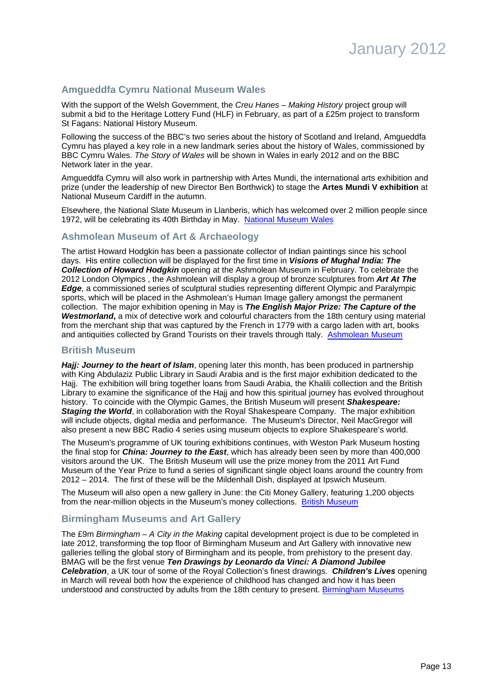# **Amgueddfa Cymru National Museum Wales**

With the support of the Welsh Government, the Creu Hanes – Making History project group will submit a bid to the Heritage Lottery Fund (HLF) in February, as part of a £25m project to transform St Fagans: National History Museum.

Following the success of the BBC's two series about the history of Scotland and Ireland, Amgueddfa Cymru has played a key role in a new landmark series about the history of Wales, commissioned by BBC Cymru Wales. The Story of Wales will be shown in Wales in early 2012 and on the BBC Network later in the year.

Amgueddfa Cymru will also work in partnership with Artes Mundi, the international arts exhibition and prize (under the leadership of new Director Ben Borthwick) to stage the **Artes Mundi V exhibition** at National Museum Cardiff in the autumn.

Elsewhere, the National Slate Museum in Llanberis, which has welcomed over 2 million people since 1972, will be celebrating its 40th Birthday in May. [National Museum Wales](http://www.museumwales.ac.uk/)

### **Ashmolean Museum of Art & Archaeology**

The artist Howard Hodgkin has been a passionate collector of Indian paintings since his school days. His entire collection will be displayed for the first time in **Visions of Mughal India: The Collection of Howard Hodgkin** opening at the Ashmolean Museum in February. To celebrate the 2012 London Olympics , the Ashmolean will display a group of bronze sculptures from **Art At The Edge**, a commissioned series of sculptural studies representing different Olympic and Paralympic sports, which will be placed in the Ashmolean's Human Image gallery amongst the permanent collection. The major exhibition opening in May is **The English Major Prize: The Capture of the Westmorland,** a mix of detective work and colourful characters from the 18th century using material from the merchant ship that was captured by the French in 1779 with a cargo laden with art, books and antiquities collected by Grand Tourists on their travels through Italy. [Ashmolean Museum](http://www.ashmolean.org/news/index.php?id=168)

#### **British Museum**

**Hajj: Journey to the heart of Islam**, opening later this month, has been produced in partnership with King Abdulaziz Public Library in Saudi Arabia and is the first major exhibition dedicated to the Hajj. The exhibition will bring together loans from Saudi Arabia, the Khalili collection and the British Library to examine the significance of the Haij and how this spiritual journey has evolved throughout history. To coincide with the Olympic Games, the British Museum will present **Shakespeare: Staging the World**, in collaboration with the Royal Shakespeare Company. The major exhibition will include objects, digital media and performance. The Museum's Director, Neil MacGregor will also present a new BBC Radio 4 series using museum objects to explore Shakespeare's world.

The Museum's programme of UK touring exhibitions continues, with Weston Park Museum hosting the final stop for **China: Journey to the East**, which has already been seen by more than 400,000 visitors around the UK. The British Museum will use the prize money from the 2011 Art Fund Museum of the Year Prize to fund a series of significant single object loans around the country from 2012 – 2014. The first of these will be the Mildenhall Dish, displayed at Ipswich Museum.

The Museum will also open a new gallery in June: the Citi Money Gallery, featuring 1,200 objects from the near-million objects in the Museum's money collections. [British Museum](http://www.britishmuseum.org/)

#### **Birmingham Museums and Art Gallery**

The £9m Birmingham – A City in the Making capital development project is due to be completed in late 2012, transforming the top floor of Birmingham Museum and Art Gallery with innovative new galleries telling the global story of Birmingham and its people, from prehistory to the present day. BMAG will be the first venue **Ten Drawings by Leonardo da Vinci: A Diamond Jubilee Celebration**, a UK tour of some of the Royal Collection's finest drawings. **Children's Lives** opening in March will reveal both how the experience of childhood has changed and how it has been understood and constructed by adults from the 18th century to present. [Birmingham Museums](http://www.bmag.org.uk/)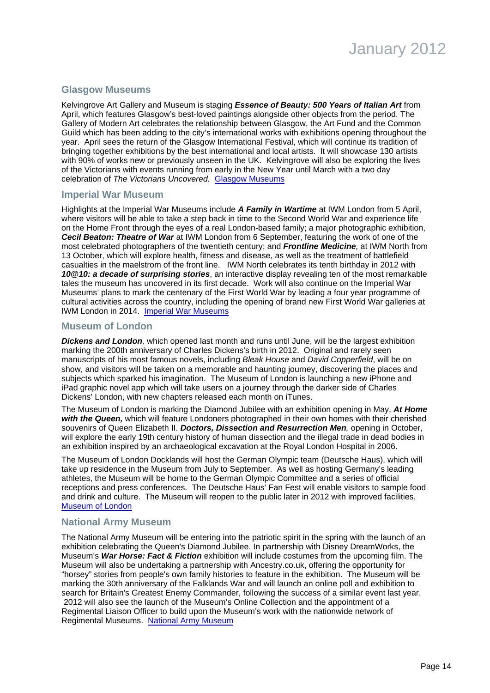# **Glasgow Museums**

Kelvingrove Art Gallery and Museum is staging **Essence of Beauty: 500 Years of Italian Art** from April, which features Glasgow's best-loved paintings alongside other objects from the period. The Gallery of Modern Art celebrates the relationship between Glasgow, the Art Fund and the Common Guild which has been adding to the city's international works with exhibitions opening throughout the year. April sees the return of the Glasgow International Festival, which will continue its tradition of bringing together exhibitions by the best international and local artists. It will showcase 130 artists with 90% of works new or previously unseen in the UK. Kelvingrove will also be exploring the lives of the Victorians with events running from early in the New Year until March with a two day celebration of The Victorians Uncovered. [Glasgow Museums](http://www.glasgowlife.org.uk/museums/Pages/home.aspx)

#### **Imperial War Museum**

Highlights at the Imperial War Museums include **A Family in Wartime** at IWM London from 5 April, where visitors will be able to take a step back in time to the Second World War and experience life on the Home Front through the eyes of a real London-based family; a major photographic exhibition, **Cecil Beaton: Theatre of War** at IWM London from 6 September, featuring the work of one of the most celebrated photographers of the twentieth century; and **Frontline Medicine**, at IWM North from 13 October, which will explore health, fitness and disease, as well as the treatment of battlefield casualties in the maelstrom of the front line. IWM North celebrates its tenth birthday in 2012 with **10@10: a decade of surprising stories**, an interactive display revealing ten of the most remarkable tales the museum has uncovered in its first decade. Work will also continue on the Imperial War Museums' plans to mark the centenary of the First World War by leading a four year programme of cultural activities across the country, including the opening of brand new First World War galleries at IWM London in 2014. [Imperial War Museums](http://www.iwm.org.uk/sites/default/files/press-release/PRelease20111215-2012atIWM.pdf)

### **Museum of London**

**Dickens and London**, which opened last month and runs until June, will be the largest exhibition marking the 200th anniversary of Charles Dickens's birth in 2012. Original and rarely seen manuscripts of his most famous novels, including Bleak House and David Copperfield, will be on show, and visitors will be taken on a memorable and haunting journey, discovering the places and subjects which sparked his imagination. The Museum of London is launching a new iPhone and iPad graphic novel app which will take users on a journey through the darker side of Charles Dickens' London, with new chapters released each month on iTunes.

The Museum of London is marking the Diamond Jubilee with an exhibition opening in May, **At Home with the Queen,** which will feature Londoners photographed in their own homes with their cherished souvenirs of Queen Elizabeth II. **Doctors, Dissection and Resurrection Men**, opening in October, will explore the early 19th century history of human dissection and the illegal trade in dead bodies in an exhibition inspired by an archaeological excavation at the Royal London Hospital in 2006.

The Museum of London Docklands will host the German Olympic team (Deutsche Haus), which will take up residence in the Museum from July to September. As well as hosting Germany's leading athletes, the Museum will be home to the German Olympic Committee and a series of official receptions and press conferences. The Deutsche Haus' Fan Fest will enable visitors to sample food and drink and culture. The Museum will reopen to the public later in 2012 with improved facilities. [Museum of London](http://www.museumoflondon.org.uk/)

# **National Army Museum**

The National Army Museum will be entering into the patriotic spirit in the spring with the launch of an exhibition celebrating the Queen's Diamond Jubilee. In partnership with Disney DreamWorks, the Museum's **War Horse: Fact & Fiction** exhibition will include costumes from the upcoming film. The Museum will also be undertaking a partnership with Ancestry.co.uk, offering the opportunity for "horsey" stories from people's own family histories to feature in the exhibition. The Museum will be marking the 30th anniversary of the Falklands War and will launch an online poll and exhibition to search for Britain's Greatest Enemy Commander, following the success of a similar event last year. 2012 will also see the launch of the Museum's Online Collection and the appointment of a Regimental Liaison Officer to build upon the Museum's work with the nationwide network of Regimental Museums. [National Army Museum](http://www.nam.ac.uk/)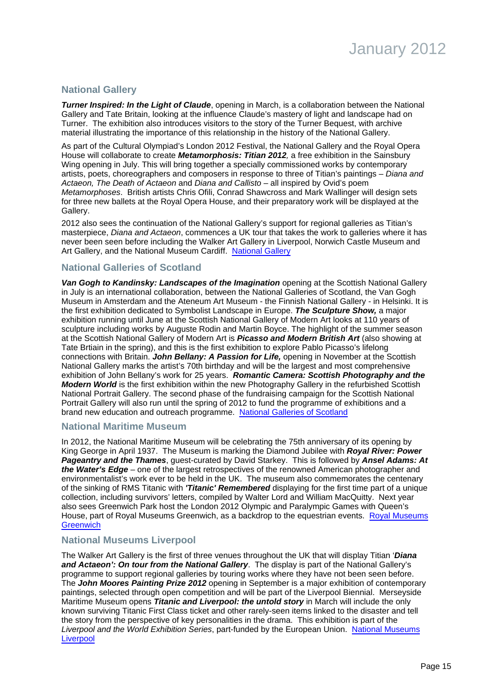# **National Gallery**

**Turner Inspired: In the Light of Claude**, opening in March, is a collaboration between the National Gallery and Tate Britain, looking at the influence Claude's mastery of light and landscape had on Turner. The exhibition also introduces visitors to the story of the Turner Bequest, with archive material illustrating the importance of this relationship in the history of the National Gallery.

As part of the Cultural Olympiad's London 2012 Festival, the National Gallery and the Royal Opera House will collaborate to create **Metamorphosis: Titian 2012**, a free exhibition in the Sainsbury Wing opening in July. This will bring together a specially commissioned works by contemporary artists, poets, choreographers and composers in response to three of Titian's paintings – Diana and Actaeon, The Death of Actaeon and Diana and Callisto – all inspired by Ovid's poem Metamorphoses. British artists Chris Ofili, Conrad Shawcross and Mark Wallinger will design sets for three new ballets at the Royal Opera House, and their preparatory work will be displayed at the Gallery.

2012 also sees the continuation of the National Gallery's support for regional galleries as Titian's masterpiece, Diana and Actaeon, commences a UK tour that takes the work to galleries where it has never been seen before including the Walker Art Gallery in Liverpool, Norwich Castle Museum and Art Gallery, and the National Museum Cardiff. [National Gallery](http://www.nationalgallery.org.uk/)

# **National Galleries of Scotland**

**Van Gogh to Kandinsky: Landscapes of the Imagination** opening at the Scottish National Gallery in July is an international collaboration, between the National Galleries of Scotland, the Van Gogh Museum in Amsterdam and the Ateneum Art Museum - the Finnish National Gallery - in Helsinki. It is the first exhibition dedicated to Symbolist Landscape in Europe. **The Sculpture Show,** a major exhibition running until June at the Scottish National Gallery of Modern Art looks at 110 years of sculpture including works by Auguste Rodin and Martin Boyce. The highlight of the summer season at the Scottish National Gallery of Modern Art is **Picasso and Modern British Art** (also showing at Tate Brtiain in the spring), and this is the first exhibition to explore Pablo Picasso's lifelong connections with Britain. **John Bellany: A Passion for Life,** opening in November at the Scottish National Gallery marks the artist's 70th birthday and will be the largest and most comprehensive exhibition of John Bellany's work for 25 years. **Romantic Camera: Scottish Photography and the Modern World** is the first exhibition within the new Photography Gallery in the refurbished Scottish National Portrait Gallery. The second phase of the fundraising campaign for the Scottish National Portrait Gallery will also run until the spring of 2012 to fund the programme of exhibitions and a brand new education and outreach programme. [National Galleries of Scotland](http://www.nationalgalleries.org/)

# **National Maritime Museum**

In 2012, the National Maritime Museum will be celebrating the 75th anniversary of its opening by King George in April 1937. The Museum is marking the Diamond Jubilee with **Royal River: Power Pageantry and the Thames**, guest-curated by David Starkey. This is followed by **Ansel Adams: At the Water's Edge** – one of the largest retrospectives of the renowned American photographer and environmentalist's work ever to be held in the UK. The museum also commemorates the centenary of the sinking of RMS Titanic with **'Titanic' Remembered** displaying for the first time part of a unique collection, including survivors' letters, compiled by Walter Lord and William MacQuitty. Next year also sees Greenwich Park host the London 2012 Olympic and Paralympic Games with Queen's House, part of Royal Museums Greenwich, as a backdrop to the equestrian events. [Royal Museums](http://www.rmg.co.uk/) **[Greenwich](http://www.rmg.co.uk/)** 

# **National Museums Liverpool**

The Walker Art Gallery is the first of three venues throughout the UK that will display Titian '**Diana** and Actaeon': On tour from the National Gallery. The display is part of the National Gallery's programme to support regional galleries by touring works where they have not been seen before. The **John Moores Painting Prize 2012** opening in September is a major exhibition of contemporary paintings, selected through open competition and will be part of the Liverpool Biennial. Merseyside Maritime Museum opens **Titanic and Liverpool: the untold story** in March will include the only known surviving Titanic First Class ticket and other rarely-seen items linked to the disaster and tell the story from the perspective of key personalities in the drama. This exhibition is part of the Liverpool and the World Exhibition Series, part-funded by the European Union. [National Museums](http://www.liverpoolmuseums.org.uk/) **[Liverpool](http://www.liverpoolmuseums.org.uk/)**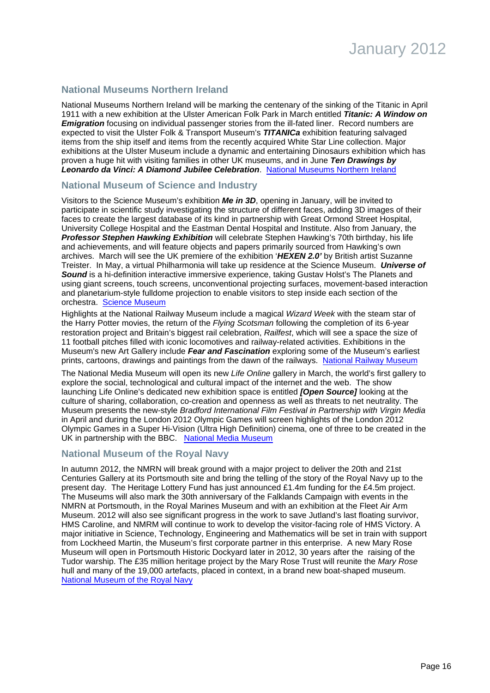# **National Museums Northern Ireland**

National Museums Northern Ireland will be marking the centenary of the sinking of the Titanic in April 1911 with a new exhibition at the Ulster American Folk Park in March entitled **Titanic: A Window on Emigration** focusing on individual passenger stories from the ill-fated liner. Record numbers are expected to visit the Ulster Folk & Transport Museum's **TITANICa** exhibition featuring salvaged items from the ship itself and items from the recently acquired White Star Line collection. Major exhibitions at the Ulster Museum include a dynamic and entertaining Dinosaurs exhibition which has proven a huge hit with visiting families in other UK museums, and in June **Ten Drawings by Leonardo da Vinci: A Diamond Jubilee Celebration**. [National Museums Northern Ireland](http://www.nmni.com/)

#### **National Museum of Science and Industry**

Visitors to the Science Museum's exhibition **Me in 3D**, opening in January, will be invited to participate in scientific study investigating the structure of different faces, adding 3D images of their faces to create the largest database of its kind in partnership with Great Ormond Street Hospital, University College Hospital and the Eastman Dental Hospital and Institute. Also from January, the **Professor Stephen Hawking Exhibition** will celebrate Stephen Hawking's 70th birthday, his life and achievements, and will feature objects and papers primarily sourced from Hawking's own archives. March will see the UK premiere of the exhibition '**HEXEN 2.0'** by British artist Suzanne Treister. In May, a virtual Philharmonia will take up residence at the Science Museum. **Universe of Sound** is a hi-definition interactive immersive experience, taking Gustav Holst's The Planets and using giant screens, touch screens, unconventional projecting surfaces, movement-based interaction and planetarium-style fulldome projection to enable visitors to step inside each section of the orchestra. [Science Museum](http://www.sciencemuseum.org.uk/)

Highlights at the National Railway Museum include a magical Wizard Week with the steam star of the Harry Potter movies, the return of the Flying Scotsman following the completion of its 6-year restoration project and Britain's biggest rail celebration, Railfest, which will see a space the size of 11 football pitches filled with iconic locomotives and railway-related activities. Exhibitions in the Museum's new Art Gallery include **Fear and Fascination** exploring some of the Museum's earliest prints, cartoons, drawings and paintings from the dawn of the railways. [National Railway Museum](http://www.nrm.org.uk/)

The National Media Museum will open its new Life Online gallery in March, the world's first gallery to explore the social, technological and cultural impact of the internet and the web. The show launching Life Online's dedicated new exhibition space is entitled **[Open Source]** looking at the culture of sharing, collaboration, co-creation and openness as well as threats to net neutrality. The Museum presents the new-style Bradford International Film Festival in Partnership with Virgin Media in April and during the London 2012 Olympic Games will screen highlights of the London 2012 Olympic Games in a Super Hi-Vision (Ultra High Definition) cinema, one of three to be created in the UK in partnership with the BBC. [National Media Museum](http://www.nationalmediamuseum.org.uk/)

#### **National Museum of the Royal Navy**

In autumn 2012, the NMRN will break ground with a major project to deliver the 20th and 21st Centuries Gallery at its Portsmouth site and bring the telling of the story of the Royal Navy up to the present day. The Heritage Lottery Fund has just announced £1.4m funding for the £4.5m project. The Museums will also mark the 30th anniversary of the Falklands Campaign with events in the NMRN at Portsmouth, in the Royal Marines Museum and with an exhibition at the Fleet Air Arm Museum. 2012 will also see significant progress in the work to save Jutland's last floating survivor, HMS Caroline, and NMRM will continue to work to develop the visitor-facing role of HMS Victory. A major initiative in Science, Technology, Engineering and Mathematics will be set in train with support from Lockheed Martin, the Museum's first corporate partner in this enterprise. A new Mary Rose Museum will open in Portsmouth Historic Dockyard later in 2012, 30 years after the raising of the Tudor warship. The £35 million heritage project by the Mary Rose Trust will reunite the Mary Rose hull and many of the 19,000 artefacts, placed in context, in a brand new boat-shaped museum. [National Museum of the Royal Navy](http://www.royalnavalmuseum.org/)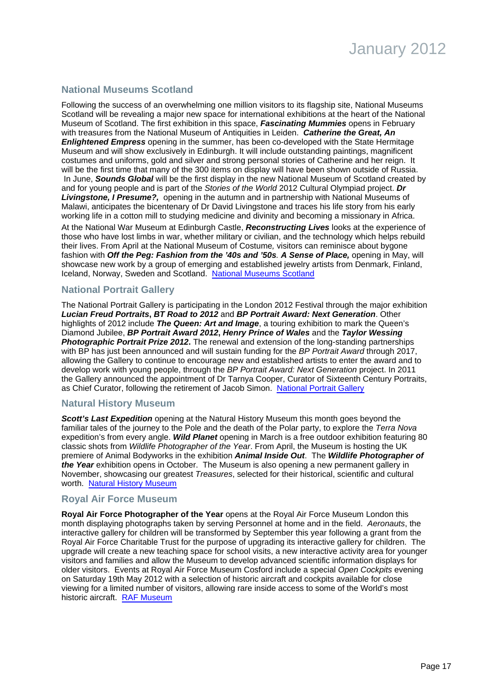# **National Museums Scotland**

Following the success of an overwhelming one million visitors to its flagship site, National Museums Scotland will be revealing a major new space for international exhibitions at the heart of the National Museum of Scotland. The first exhibition in this space, **Fascinating Mummies** opens in February with treasures from the National Museum of Antiquities in Leiden. **Catherine the Great, An Enlightened Empress** opening in the summer, has been co-developed with the State Hermitage Museum and will show exclusively in Edinburgh. It will include outstanding paintings, magnificent costumes and uniforms, gold and silver and strong personal stories of Catherine and her reign. It will be the first time that many of the 300 items on display will have been shown outside of Russia. In June, **Sounds Global** will be the first display in the new National Museum of Scotland created by and for young people and is part of the Stories of the World 2012 Cultural Olympiad project. **Dr Livingstone, I Presume?,** opening in the autumn and in partnership with National Museums of Malawi, anticipates the bicentenary of Dr David Livingstone and traces his life story from his early working life in a cotton mill to studying medicine and divinity and becoming a missionary in Africa.

At the National War Museum at Edinburgh Castle, **Reconstructing Lives** looks at the experience of those who have lost limbs in war, whether military or civilian, and the technology which helps rebuild their lives. From April at the National Museum of Costume, visitors can reminisce about bygone fashion with **Off the Peg: Fashion from the '40s and '50s**. **A Sense of Place,** opening in May, will showcase new work by a group of emerging and established jewelry artists from Denmark, Finland, Iceland, Norway, Sweden and Scotland. [National Museums Scotland](http://www.nms.ac.uk/)

### **National Portrait Gallery**

The National Portrait Gallery is participating in the London 2012 Festival through the major exhibition **Lucian Freud Portraits, BT Road to 2012** and **BP Portrait Award: Next Generation**. Other highlights of 2012 include **The Queen: Art and Image**, a touring exhibition to mark the Queen's Diamond Jubilee, **BP Portrait Award 2012, Henry Prince of Wales** and the **Taylor Wessing Photographic Portrait Prize 2012.** The renewal and extension of the long-standing partnerships with BP has just been announced and will sustain funding for the BP Portrait Award through 2017, allowing the Gallery to continue to encourage new and established artists to enter the award and to develop work with young people, through the BP Portrait Award: Next Generation project. In 2011 the Gallery announced the appointment of Dr Tarnya Cooper, Curator of Sixteenth Century Portraits, as Chief Curator, following the retirement of Jacob Simon. [National Portrait Gallery](http://www.npg.org.uk/)

#### **Natural History Museum**

**Scott's Last Expedition** opening at the Natural History Museum this month goes beyond the familiar tales of the journey to the Pole and the death of the Polar party, to explore the Terra Nova expedition's from every angle. **Wild Planet** opening in March is a free outdoor exhibition featuring 80 classic shots from Wildlife Photographer of the Year. From April, the Museum is hosting the UK premiere of Animal Bodyworks in the exhibition **Animal Inside Out**. The **Wildlife Photographer of the Year** exhibition opens in October. The Museum is also opening a new permanent gallery in November, showcasing our greatest Treasures, selected for their historical, scientific and cultural worth. [Natural History Museum](http://www.nhm.ac.uk/)

#### **Royal Air Force Museum**

**Royal Air Force Photographer of the Year** opens at the Royal Air Force Museum London this month displaying photographs taken by serving Personnel at home and in the field. Aeronauts, the interactive gallery for children will be transformed by September this year following a grant from the Royal Air Force Charitable Trust for the purpose of upgrading its interactive gallery for children. The upgrade will create a new teaching space for school visits, a new interactive activity area for younger visitors and families and allow the Museum to develop advanced scientific information displays for older visitors. Events at Royal Air Force Museum Cosford include a special Open Cockpits evening on Saturday 19th May 2012 with a selection of historic aircraft and cockpits available for close viewing for a limited number of visitors, allowing rare inside access to some of the World's most historic aircraft. [RAF Museum](http://www.rafmuseum.org.uk/)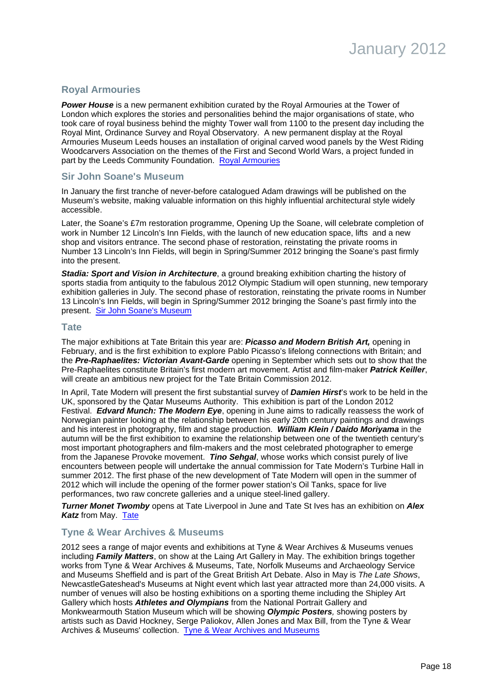# **Royal Armouries**

**Power House** is a new permanent exhibition curated by the Royal Armouries at the Tower of London which explores the stories and personalities behind the major organisations of state, who took care of royal business behind the mighty Tower wall from 1100 to the present day including the Royal Mint, Ordinance Survey and Royal Observatory. A new permanent display at the Royal Armouries Museum Leeds houses an installation of original carved wood panels by the West Riding Woodcarvers Association on the themes of the First and Second World Wars, a project funded in part by the Leeds Community Foundation. [Royal Armouries](http://www.royalarmouries.org/)

# **Sir John Soane's Museum**

In January the first tranche of never-before catalogued Adam drawings will be published on the Museum's website, making valuable information on this highly influential architectural style widely accessible.

Later, the Soane's £7m restoration programme, Opening Up the Soane, will celebrate completion of work in Number 12 Lincoln's Inn Fields, with the launch of new education space, lifts and a new shop and visitors entrance. The second phase of restoration, reinstating the private rooms in Number 13 Lincoln's Inn Fields, will begin in Spring/Summer 2012 bringing the Soane's past firmly into the present.

**Stadia: Sport and Vision in Architecture**, a ground breaking exhibition charting the history of sports stadia from antiquity to the fabulous 2012 Olympic Stadium will open stunning, new temporary exhibition galleries in July. The second phase of restoration, reinstating the private rooms in Number 13 Lincoln's Inn Fields, will begin in Spring/Summer 2012 bringing the Soane's past firmly into the present. [Sir John Soane's Museum](http://www.soane.org/)

#### **Tate**

The major exhibitions at Tate Britain this year are: **Picasso and Modern British Art,** opening in February, and is the first exhibition to explore Pablo Picasso's lifelong connections with Britain; and the **Pre-Raphaelites: Victorian Avant-Garde** opening in September which sets out to show that the Pre-Raphaelites constitute Britain's first modern art movement. Artist and film-maker **Patrick Keiller**, will create an ambitious new project for the Tate Britain Commission 2012.

In April, Tate Modern will present the first substantial survey of **Damien Hirst**'s work to be held in the UK, sponsored by the Qatar Museums Authority. This exhibition is part of the London 2012 Festival. **Edvard Munch: The Modern Eye**, opening in June aims to radically reassess the work of Norwegian painter looking at the relationship between his early 20th century paintings and drawings and his interest in photography, film and stage production. **William Klein / Daido Moriyama** in the autumn will be the first exhibition to examine the relationship between one of the twentieth century's most important photographers and film-makers and the most celebrated photographer to emerge from the Japanese Provoke movement. **Tino Sehgal**, whose works which consist purely of live encounters between people will undertake the annual commission for Tate Modern's Turbine Hall in summer 2012. The first phase of the new development of Tate Modern will open in the summer of 2012 which will include the opening of the former power station's Oil Tanks, space for live performances, two raw concrete galleries and a unique steel-lined gallery.

**Turner Monet Twomby** opens at Tate Liverpool in June and Tate St Ives has an exhibition on **Alex Katz** from May. [Tate](http://www.tate.org.uk/)

# **Tyne & Wear Archives & Museums**

2012 sees a range of major events and exhibitions at Tyne & Wear Archives & Museums venues including **Family Matters**, on show at the Laing Art Gallery in May. The exhibition brings together works from Tyne & Wear Archives & Museums, Tate, Norfolk Museums and Archaeology Service and Museums Sheffield and is part of the Great British Art Debate. Also in May is The Late Shows, NewcastleGateshead's Museums at Night event which last year attracted more than 24,000 visits. A number of venues will also be hosting exhibitions on a sporting theme including the Shipley Art Gallery which hosts **Athletes and Olympians** from the National Portrait Gallery and Monkwearmouth Station Museum which will be showing **Olympic Posters**, showing posters by artists such as David Hockney, Serge Paliokov, Allen Jones and Max Bill, from the Tyne & Wear Archives & Museums' collection. [Tyne & Wear Archives and Museums](http://www.twmuseums.org.uk/)